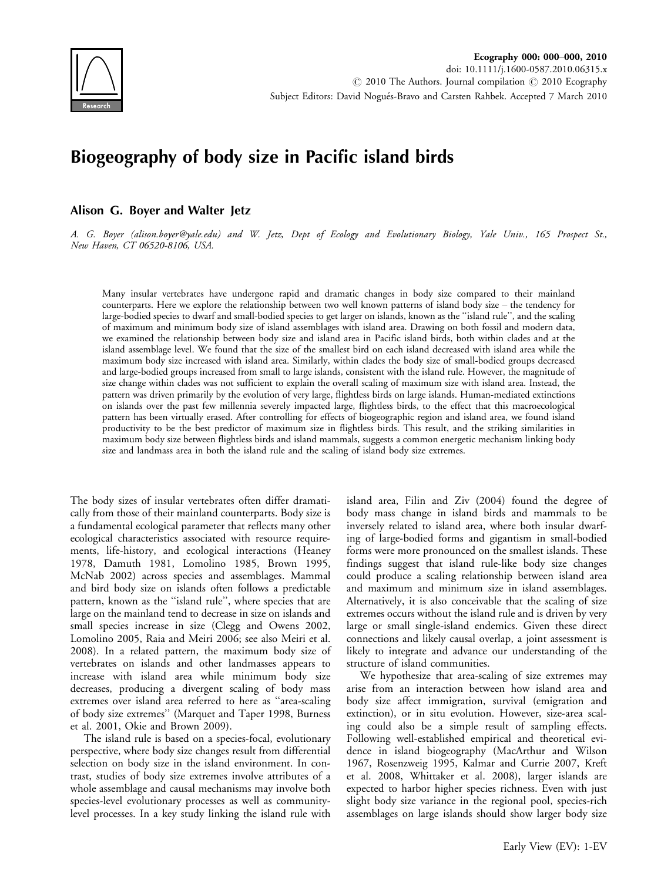

Ecography 000: 000-000, 2010 doi: 10.1111/j.1600-0587.2010.06315.x  $\odot$  2010 The Authors. Journal compilation  $\odot$  2010 Ecography Subject Editors: David Nogués-Bravo and Carsten Rahbek. Accepted 7 March 2010

# Biogeography of body size in Pacific island birds

### Alison G. Boyer and Walter Jetz

A. G. Boyer (alison.boyer@yale.edu) and W. Jetz, Dept of Ecology and Evolutionary Biology, Yale Univ., 165 Prospect St., New Haven, CT 06520-8106, USA.

Many insular vertebrates have undergone rapid and dramatic changes in body size compared to their mainland counterparts. Here we explore the relationship between two well known patterns of island body size  $-$  the tendency for large-bodied species to dwarf and small-bodied species to get larger on islands, known as the ''island rule'', and the scaling of maximum and minimum body size of island assemblages with island area. Drawing on both fossil and modern data, we examined the relationship between body size and island area in Pacific island birds, both within clades and at the island assemblage level. We found that the size of the smallest bird on each island decreased with island area while the maximum body size increased with island area. Similarly, within clades the body size of small-bodied groups decreased and large-bodied groups increased from small to large islands, consistent with the island rule. However, the magnitude of size change within clades was not sufficient to explain the overall scaling of maximum size with island area. Instead, the pattern was driven primarily by the evolution of very large, flightless birds on large islands. Human-mediated extinctions on islands over the past few millennia severely impacted large, flightless birds, to the effect that this macroecological pattern has been virtually erased. After controlling for effects of biogeographic region and island area, we found island productivity to be the best predictor of maximum size in flightless birds. This result, and the striking similarities in maximum body size between flightless birds and island mammals, suggests a common energetic mechanism linking body size and landmass area in both the island rule and the scaling of island body size extremes.

The body sizes of insular vertebrates often differ dramatically from those of their mainland counterparts. Body size is a fundamental ecological parameter that reflects many other ecological characteristics associated with resource requirements, life-history, and ecological interactions (Heaney 1978, Damuth 1981, Lomolino 1985, Brown 1995, McNab 2002) across species and assemblages. Mammal and bird body size on islands often follows a predictable pattern, known as the ''island rule'', where species that are large on the mainland tend to decrease in size on islands and small species increase in size (Clegg and Owens 2002, Lomolino 2005, Raia and Meiri 2006; see also Meiri et al. 2008). In a related pattern, the maximum body size of vertebrates on islands and other landmasses appears to increase with island area while minimum body size decreases, producing a divergent scaling of body mass extremes over island area referred to here as ''area-scaling of body size extremes'' (Marquet and Taper 1998, Burness et al. 2001, Okie and Brown 2009).

The island rule is based on a species-focal, evolutionary perspective, where body size changes result from differential selection on body size in the island environment. In contrast, studies of body size extremes involve attributes of a whole assemblage and causal mechanisms may involve both species-level evolutionary processes as well as communitylevel processes. In a key study linking the island rule with island area, Filin and Ziv (2004) found the degree of body mass change in island birds and mammals to be inversely related to island area, where both insular dwarfing of large-bodied forms and gigantism in small-bodied forms were more pronounced on the smallest islands. These findings suggest that island rule-like body size changes could produce a scaling relationship between island area and maximum and minimum size in island assemblages. Alternatively, it is also conceivable that the scaling of size extremes occurs without the island rule and is driven by very large or small single-island endemics. Given these direct connections and likely causal overlap, a joint assessment is likely to integrate and advance our understanding of the structure of island communities.

We hypothesize that area-scaling of size extremes may arise from an interaction between how island area and body size affect immigration, survival (emigration and extinction), or in situ evolution. However, size-area scaling could also be a simple result of sampling effects. Following well-established empirical and theoretical evidence in island biogeography (MacArthur and Wilson 1967, Rosenzweig 1995, Kalmar and Currie 2007, Kreft et al. 2008, Whittaker et al. 2008), larger islands are expected to harbor higher species richness. Even with just slight body size variance in the regional pool, species-rich assemblages on large islands should show larger body size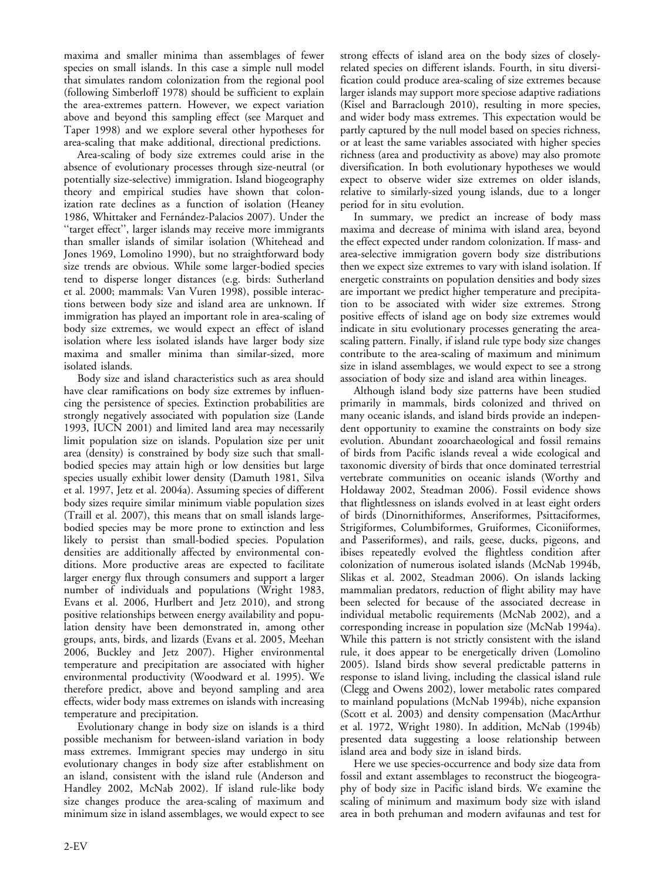maxima and smaller minima than assemblages of fewer species on small islands. In this case a simple null model that simulates random colonization from the regional pool (following Simberloff 1978) should be sufficient to explain the area-extremes pattern. However, we expect variation above and beyond this sampling effect (see Marquet and Taper 1998) and we explore several other hypotheses for area-scaling that make additional, directional predictions.

Area-scaling of body size extremes could arise in the absence of evolutionary processes through size-neutral (or potentially size-selective) immigration. Island biogeography theory and empirical studies have shown that colonization rate declines as a function of isolation (Heaney 1986, Whittaker and Fernández-Palacios 2007). Under the ''target effect'', larger islands may receive more immigrants than smaller islands of similar isolation (Whitehead and Jones 1969, Lomolino 1990), but no straightforward body size trends are obvious. While some larger-bodied species tend to disperse longer distances (e.g. birds: Sutherland et al. 2000; mammals: Van Vuren 1998), possible interactions between body size and island area are unknown. If immigration has played an important role in area-scaling of body size extremes, we would expect an effect of island isolation where less isolated islands have larger body size maxima and smaller minima than similar-sized, more isolated islands.

Body size and island characteristics such as area should have clear ramifications on body size extremes by influencing the persistence of species. Extinction probabilities are strongly negatively associated with population size (Lande 1993, IUCN 2001) and limited land area may necessarily limit population size on islands. Population size per unit area (density) is constrained by body size such that smallbodied species may attain high or low densities but large species usually exhibit lower density (Damuth 1981, Silva et al. 1997, Jetz et al. 2004a). Assuming species of different body sizes require similar minimum viable population sizes (Traill et al. 2007), this means that on small islands largebodied species may be more prone to extinction and less likely to persist than small-bodied species. Population densities are additionally affected by environmental conditions. More productive areas are expected to facilitate larger energy flux through consumers and support a larger number of individuals and populations (Wright 1983, Evans et al. 2006, Hurlbert and Jetz 2010), and strong positive relationships between energy availability and population density have been demonstrated in, among other groups, ants, birds, and lizards (Evans et al. 2005, Meehan 2006, Buckley and Jetz 2007). Higher environmental temperature and precipitation are associated with higher environmental productivity (Woodward et al. 1995). We therefore predict, above and beyond sampling and area effects, wider body mass extremes on islands with increasing temperature and precipitation.

Evolutionary change in body size on islands is a third possible mechanism for between-island variation in body mass extremes. Immigrant species may undergo in situ evolutionary changes in body size after establishment on an island, consistent with the island rule (Anderson and Handley 2002, McNab 2002). If island rule-like body size changes produce the area-scaling of maximum and minimum size in island assemblages, we would expect to see strong effects of island area on the body sizes of closelyrelated species on different islands. Fourth, in situ diversification could produce area-scaling of size extremes because larger islands may support more speciose adaptive radiations (Kisel and Barraclough 2010), resulting in more species, and wider body mass extremes. This expectation would be partly captured by the null model based on species richness, or at least the same variables associated with higher species richness (area and productivity as above) may also promote diversification. In both evolutionary hypotheses we would expect to observe wider size extremes on older islands, relative to similarly-sized young islands, due to a longer period for in situ evolution.

In summary, we predict an increase of body mass maxima and decrease of minima with island area, beyond the effect expected under random colonization. If mass- and area-selective immigration govern body size distributions then we expect size extremes to vary with island isolation. If energetic constraints on population densities and body sizes are important we predict higher temperature and precipitation to be associated with wider size extremes. Strong positive effects of island age on body size extremes would indicate in situ evolutionary processes generating the areascaling pattern. Finally, if island rule type body size changes contribute to the area-scaling of maximum and minimum size in island assemblages, we would expect to see a strong association of body size and island area within lineages.

Although island body size patterns have been studied primarily in mammals, birds colonized and thrived on many oceanic islands, and island birds provide an independent opportunity to examine the constraints on body size evolution. Abundant zooarchaeological and fossil remains of birds from Pacific islands reveal a wide ecological and taxonomic diversity of birds that once dominated terrestrial vertebrate communities on oceanic islands (Worthy and Holdaway 2002, Steadman 2006). Fossil evidence shows that flightlessness on islands evolved in at least eight orders of birds (Dinornithiformes, Anseriformes, Psittaciformes, Strigiformes, Columbiformes, Gruiformes, Ciconiiformes, and Passeriformes), and rails, geese, ducks, pigeons, and ibises repeatedly evolved the flightless condition after colonization of numerous isolated islands (McNab 1994b, Slikas et al. 2002, Steadman 2006). On islands lacking mammalian predators, reduction of flight ability may have been selected for because of the associated decrease in individual metabolic requirements (McNab 2002), and a corresponding increase in population size (McNab 1994a). While this pattern is not strictly consistent with the island rule, it does appear to be energetically driven (Lomolino 2005). Island birds show several predictable patterns in response to island living, including the classical island rule (Clegg and Owens 2002), lower metabolic rates compared to mainland populations (McNab 1994b), niche expansion (Scott et al. 2003) and density compensation (MacArthur et al. 1972, Wright 1980). In addition, McNab (1994b) presented data suggesting a loose relationship between island area and body size in island birds.

Here we use species-occurrence and body size data from fossil and extant assemblages to reconstruct the biogeography of body size in Pacific island birds. We examine the scaling of minimum and maximum body size with island area in both prehuman and modern avifaunas and test for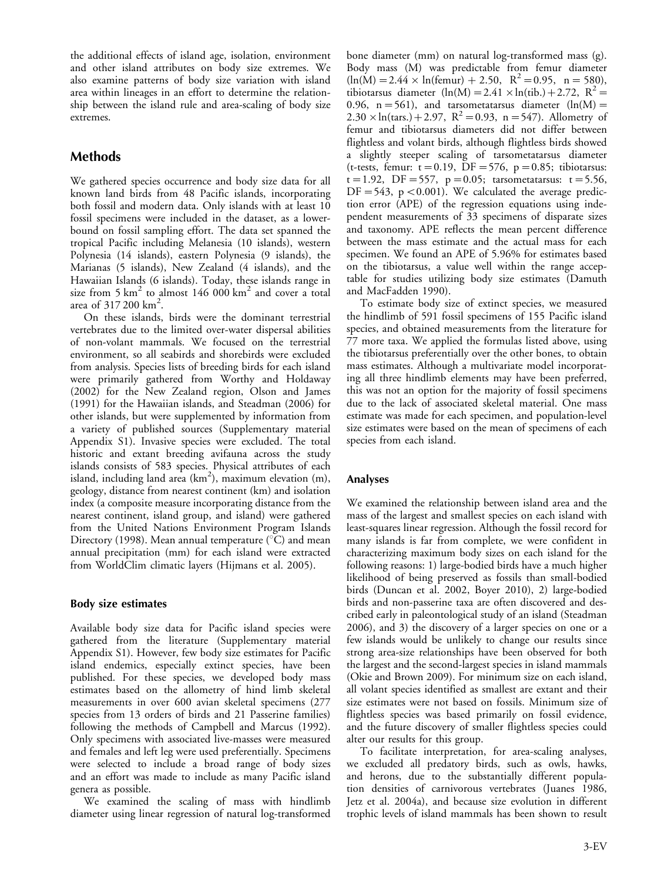the additional effects of island age, isolation, environment and other island attributes on body size extremes. We also examine patterns of body size variation with island area within lineages in an effort to determine the relationship between the island rule and area-scaling of body size extremes.

## Methods

We gathered species occurrence and body size data for all known land birds from 48 Pacific islands, incorporating both fossil and modern data. Only islands with at least 10 fossil specimens were included in the dataset, as a lowerbound on fossil sampling effort. The data set spanned the tropical Pacific including Melanesia (10 islands), western Polynesia (14 islands), eastern Polynesia (9 islands), the Marianas (5 islands), New Zealand (4 islands), and the Hawaiian Islands (6 islands). Today, these islands range in size from 5  $km^2$  to almost 146 000  $km^2$  and cover a total area of  $317200 \mathrm{km}^2$ .

On these islands, birds were the dominant terrestrial vertebrates due to the limited over-water dispersal abilities of non-volant mammals. We focused on the terrestrial environment, so all seabirds and shorebirds were excluded from analysis. Species lists of breeding birds for each island were primarily gathered from Worthy and Holdaway (2002) for the New Zealand region, Olson and James (1991) for the Hawaiian islands, and Steadman (2006) for other islands, but were supplemented by information from a variety of published sources (Supplementary material Appendix S1). Invasive species were excluded. The total historic and extant breeding avifauna across the study islands consists of 583 species. Physical attributes of each island, including land area  $(km^2)$ , maximum elevation (m), geology, distance from nearest continent (km) and isolation index (a composite measure incorporating distance from the nearest continent, island group, and island) were gathered from the United Nations Environment Program Islands Directory (1998). Mean annual temperature ( $\rm{°C}$ ) and mean annual precipitation (mm) for each island were extracted from WorldClim climatic layers (Hijmans et al. 2005).

#### Body size estimates

Available body size data for Pacific island species were gathered from the literature (Supplementary material Appendix S1). However, few body size estimates for Pacific island endemics, especially extinct species, have been published. For these species, we developed body mass estimates based on the allometry of hind limb skeletal measurements in over 600 avian skeletal specimens (277 species from 13 orders of birds and 21 Passerine families) following the methods of Campbell and Marcus (1992). Only specimens with associated live-masses were measured and females and left leg were used preferentially. Specimens were selected to include a broad range of body sizes and an effort was made to include as many Pacific island genera as possible.

We examined the scaling of mass with hindlimb diameter using linear regression of natural log-transformed bone diameter (mm) on natural log-transformed mass (g). Body mass (M) was predictable from femur diameter  $(\ln(M)) = 2.44 \times \ln(\text{femur}) + 2.50, \quad R^2 = 0.95, \quad n = 580),$ tibiotarsus diameter  $(\ln(M) = 2.41 \times \ln(\text{tib.}) + 2.72, R^2 =$ 0.96,  $n = 561$ ), and tarsometatarsus diameter  $(ln(M)) =$  $2.30 \times \ln(\text{tars.}) + 2.97$ ,  $R^2 = 0.93$ , n = 547). Allometry of femur and tibiotarsus diameters did not differ between flightless and volant birds, although flightless birds showed a slightly steeper scaling of tarsometatarsus diameter (t-tests, femur:  $t = 0.19$ , DF = 576, p = 0.85; tibiotarsus:  $t = 1.92$ , DF = 557, p = 0.05; tarsometatarsus:  $t = 5.56$ ,  $DF = 543$ ,  $p < 0.001$ ). We calculated the average prediction error (APE) of the regression equations using independent measurements of 33 specimens of disparate sizes and taxonomy. APE reflects the mean percent difference between the mass estimate and the actual mass for each specimen. We found an APE of 5.96% for estimates based on the tibiotarsus, a value well within the range acceptable for studies utilizing body size estimates (Damuth and MacFadden 1990).

To estimate body size of extinct species, we measured the hindlimb of 591 fossil specimens of 155 Pacific island species, and obtained measurements from the literature for 77 more taxa. We applied the formulas listed above, using the tibiotarsus preferentially over the other bones, to obtain mass estimates. Although a multivariate model incorporating all three hindlimb elements may have been preferred, this was not an option for the majority of fossil specimens due to the lack of associated skeletal material. One mass estimate was made for each specimen, and population-level size estimates were based on the mean of specimens of each species from each island.

#### Analyses

We examined the relationship between island area and the mass of the largest and smallest species on each island with least-squares linear regression. Although the fossil record for many islands is far from complete, we were confident in characterizing maximum body sizes on each island for the following reasons: 1) large-bodied birds have a much higher likelihood of being preserved as fossils than small-bodied birds (Duncan et al. 2002, Boyer 2010), 2) large-bodied birds and non-passerine taxa are often discovered and described early in paleontological study of an island (Steadman 2006), and 3) the discovery of a larger species on one or a few islands would be unlikely to change our results since strong area-size relationships have been observed for both the largest and the second-largest species in island mammals (Okie and Brown 2009). For minimum size on each island, all volant species identified as smallest are extant and their size estimates were not based on fossils. Minimum size of flightless species was based primarily on fossil evidence, and the future discovery of smaller flightless species could alter our results for this group.

To facilitate interpretation, for area-scaling analyses, we excluded all predatory birds, such as owls, hawks, and herons, due to the substantially different population densities of carnivorous vertebrates (Juanes 1986, Jetz et al. 2004a), and because size evolution in different trophic levels of island mammals has been shown to result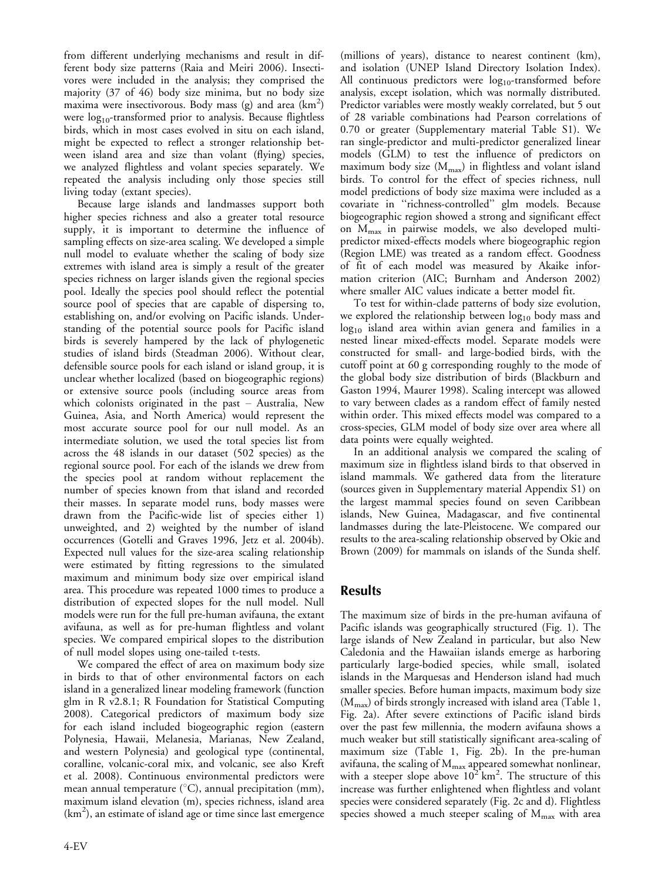from different underlying mechanisms and result in different body size patterns (Raia and Meiri 2006). Insectivores were included in the analysis; they comprised the majority (37 of 46) body size minima, but no body size maxima were insectivorous. Body mass (g) and area  $(km^2)$ were log<sub>10</sub>-transformed prior to analysis. Because flightless birds, which in most cases evolved in situ on each island, might be expected to reflect a stronger relationship between island area and size than volant (flying) species, we analyzed flightless and volant species separately. We repeated the analysis including only those species still living today (extant species).

Because large islands and landmasses support both higher species richness and also a greater total resource supply, it is important to determine the influence of sampling effects on size-area scaling. We developed a simple null model to evaluate whether the scaling of body size extremes with island area is simply a result of the greater species richness on larger islands given the regional species pool. Ideally the species pool should reflect the potential source pool of species that are capable of dispersing to, establishing on, and/or evolving on Pacific islands. Understanding of the potential source pools for Pacific island birds is severely hampered by the lack of phylogenetic studies of island birds (Steadman 2006). Without clear, defensible source pools for each island or island group, it is unclear whether localized (based on biogeographic regions) or extensive source pools (including source areas from which colonists originated in the past  $-$  Australia, New Guinea, Asia, and North America) would represent the most accurate source pool for our null model. As an intermediate solution, we used the total species list from across the 48 islands in our dataset (502 species) as the regional source pool. For each of the islands we drew from the species pool at random without replacement the number of species known from that island and recorded their masses. In separate model runs, body masses were drawn from the Pacific-wide list of species either 1) unweighted, and 2) weighted by the number of island occurrences (Gotelli and Graves 1996, Jetz et al. 2004b). Expected null values for the size-area scaling relationship were estimated by fitting regressions to the simulated maximum and minimum body size over empirical island area. This procedure was repeated 1000 times to produce a distribution of expected slopes for the null model. Null models were run for the full pre-human avifauna, the extant avifauna, as well as for pre-human flightless and volant species. We compared empirical slopes to the distribution of null model slopes using one-tailed t-tests.

We compared the effect of area on maximum body size in birds to that of other environmental factors on each island in a generalized linear modeling framework (function glm in R v2.8.1; R Foundation for Statistical Computing 2008). Categorical predictors of maximum body size for each island included biogeographic region (eastern Polynesia, Hawaii, Melanesia, Marianas, New Zealand, and western Polynesia) and geological type (continental, coralline, volcanic-coral mix, and volcanic, see also Kreft et al. 2008). Continuous environmental predictors were mean annual temperature  $({}^{\circ}C)$ , annual precipitation (mm), maximum island elevation (m), species richness, island area  $(km<sup>2</sup>)$ , an estimate of island age or time since last emergence

(millions of years), distance to nearest continent (km), and isolation (UNEP Island Directory Isolation Index). All continuous predictors were log<sub>10</sub>-transformed before analysis, except isolation, which was normally distributed. Predictor variables were mostly weakly correlated, but 5 out of 28 variable combinations had Pearson correlations of 0.70 or greater (Supplementary material Table S1). We ran single-predictor and multi-predictor generalized linear models (GLM) to test the influence of predictors on maximum body size  $(M_{\text{max}})$  in flightless and volant island birds. To control for the effect of species richness, null model predictions of body size maxima were included as a covariate in ''richness-controlled'' glm models. Because biogeographic region showed a strong and significant effect on Mmax in pairwise models, we also developed multipredictor mixed-effects models where biogeographic region (Region LME) was treated as a random effect. Goodness of fit of each model was measured by Akaike information criterion (AIC; Burnham and Anderson 2002) where smaller AIC values indicate a better model fit.

To test for within-clade patterns of body size evolution, we explored the relationship between  $log_{10}$  body mass and log<sub>10</sub> island area within avian genera and families in a nested linear mixed-effects model. Separate models were constructed for small- and large-bodied birds, with the cutoff point at 60 g corresponding roughly to the mode of the global body size distribution of birds (Blackburn and Gaston 1994, Maurer 1998). Scaling intercept was allowed to vary between clades as a random effect of family nested within order. This mixed effects model was compared to a cross-species, GLM model of body size over area where all data points were equally weighted.

In an additional analysis we compared the scaling of maximum size in flightless island birds to that observed in island mammals. We gathered data from the literature (sources given in Supplementary material Appendix S1) on the largest mammal species found on seven Caribbean islands, New Guinea, Madagascar, and five continental landmasses during the late-Pleistocene. We compared our results to the area-scaling relationship observed by Okie and Brown (2009) for mammals on islands of the Sunda shelf.

## Results

The maximum size of birds in the pre-human avifauna of Pacific islands was geographically structured (Fig. 1). The large islands of New Zealand in particular, but also New Caledonia and the Hawaiian islands emerge as harboring particularly large-bodied species, while small, isolated islands in the Marquesas and Henderson island had much smaller species. Before human impacts, maximum body size  $(M<sub>max</sub>)$  of birds strongly increased with island area (Table 1, Fig. 2a). After severe extinctions of Pacific island birds over the past few millennia, the modern avifauna shows a much weaker but still statistically significant area-scaling of maximum size (Table 1, Fig. 2b). In the pre-human avifauna, the scaling of  $M_{\text{max}}$  appeared somewhat nonlinear, with a steeper slope above  $10^{2}$  km<sup>2</sup>. The structure of this increase was further enlightened when flightless and volant species were considered separately (Fig. 2c and d). Flightless species showed a much steeper scaling of  $M_{\text{max}}$  with area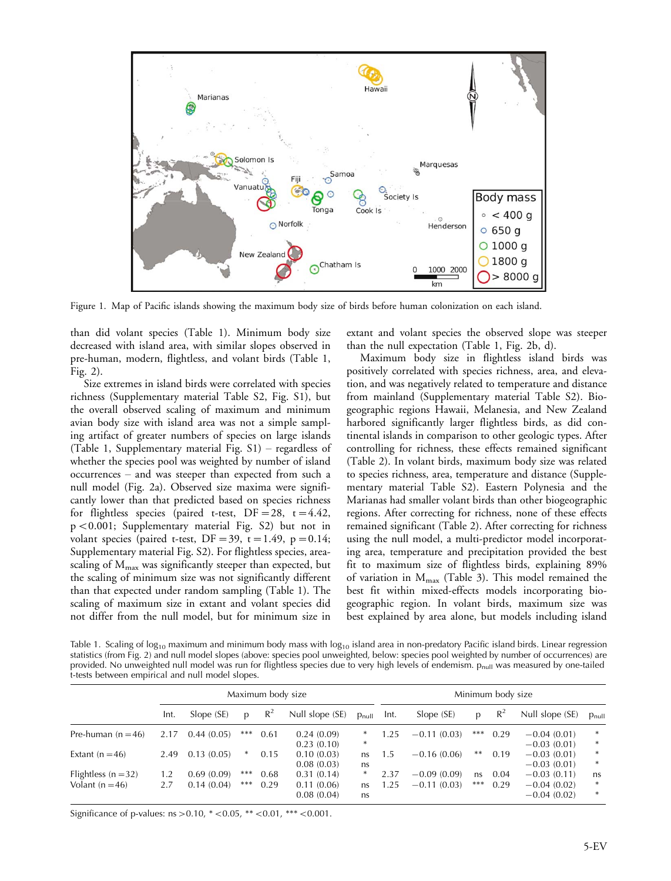

Figure 1. Map of Pacific islands showing the maximum body size of birds before human colonization on each island.

than did volant species (Table 1). Minimum body size decreased with island area, with similar slopes observed in pre-human, modern, flightless, and volant birds (Table 1, Fig. 2).

Size extremes in island birds were correlated with species richness (Supplementary material Table S2, Fig. S1), but the overall observed scaling of maximum and minimum avian body size with island area was not a simple sampling artifact of greater numbers of species on large islands (Table 1, Supplementary material Fig.  $S1$ ) – regardless of whether the species pool was weighted by number of island  $occurrences - and was steeper than expected from such a$ null model (Fig. 2a). Observed size maxima were significantly lower than that predicted based on species richness for flightless species (paired t-test,  $DF = 28$ ,  $t = 4.42$ ,  $p < 0.001$ ; Supplementary material Fig. S2) but not in volant species (paired t-test,  $DF = 39$ , t = 1.49, p = 0.14; Supplementary material Fig. S2). For flightless species, areascaling of  $M_{\text{max}}$  was significantly steeper than expected, but the scaling of minimum size was not significantly different than that expected under random sampling (Table 1). The scaling of maximum size in extant and volant species did not differ from the null model, but for minimum size in extant and volant species the observed slope was steeper than the null expectation (Table 1, Fig. 2b, d).

Maximum body size in flightless island birds was positively correlated with species richness, area, and elevation, and was negatively related to temperature and distance from mainland (Supplementary material Table S2). Biogeographic regions Hawaii, Melanesia, and New Zealand harbored significantly larger flightless birds, as did continental islands in comparison to other geologic types. After controlling for richness, these effects remained significant (Table 2). In volant birds, maximum body size was related to species richness, area, temperature and distance (Supplementary material Table S2). Eastern Polynesia and the Marianas had smaller volant birds than other biogeographic regions. After correcting for richness, none of these effects remained significant (Table 2). After correcting for richness using the null model, a multi-predictor model incorporating area, temperature and precipitation provided the best fit to maximum size of flightless birds, explaining 89% of variation in  $M_{\text{max}}$  (Table 3). This model remained the best fit within mixed-effects models incorporating biogeographic region. In volant birds, maximum size was best explained by area alone, but models including island

Table 1. Scaling of log<sub>10</sub> maximum and minimum body mass with log<sub>10</sub> island area in non-predatory Pacific island birds. Linear regression statistics (from Fig. 2) and null model slopes (above: species pool unweighted, below: species pool weighted by number of occurrences) are provided. No unweighted null model was run for flightless species due to very high levels of endemism. p<sub>null</sub> was measured by one-tailed t-tests between empirical and null model slopes.

|                      |      | Maximum body size |              |       |                 |            | Minimum body size |               |       |       |                 |            |
|----------------------|------|-------------------|--------------|-------|-----------------|------------|-------------------|---------------|-------|-------|-----------------|------------|
|                      | Int. | Slope (SE)        | $\mathsf{D}$ | $R^2$ | Null slope (SE) | $p_{null}$ | Int.              | Slope (SE)    | p     | $R^2$ | Null slope (SE) | $p_{null}$ |
| Pre-human $(n = 46)$ | 2.17 | 0.44(0.05)        | ***          | 0.61  | 0.24(0.09)      | $\ast$     | 1.25              | $-0.11(0.03)$ | ***   | 0.29  | $-0.04(0.01)$   | $\ast$     |
|                      |      |                   |              |       | 0.23(0.10)      | $\ast$     |                   |               |       |       | $-0.03(0.01)$   | $\ast$     |
| Extant $(n = 46)$    | 2.49 | 0.13(0.05)        | *            | 0.15  | 0.10(0.03)      | ns.        | 1.5               | $-0.16(0.06)$ | $***$ | 0.19  | $-0.03(0.01)$   | $\ast$     |
|                      |      |                   |              |       | 0.08(0.03)      | ns         |                   |               |       |       | $-0.03(0.01)$   | $\ast$     |
| Flightless $(n=32)$  | 1.2  | 0.69(0.09)        | ***          | 0.68  | 0.31(0.14)      | *          | 2.37              | $-0.09(0.09)$ | ns    | 0.04  | $-0.03(0.11)$   | ns         |
| Volant $(n=46)$      | 2.7  | 0.14(0.04)        | ***          | 0.29  | 0.11(0.06)      | ns         | 1.25              | $-0.11(0.03)$ | ***   | 0.29  | $-0.04(0.02)$   | $\ast$     |
|                      |      |                   |              |       | 0.08(0.04)      | ns         |                   |               |       |       | $-0.04(0.02)$   | $\ast$     |

Significance of p-values: ns > 0.10, \* < 0.05, \*\* < 0.01, \*\*\* < 0.001.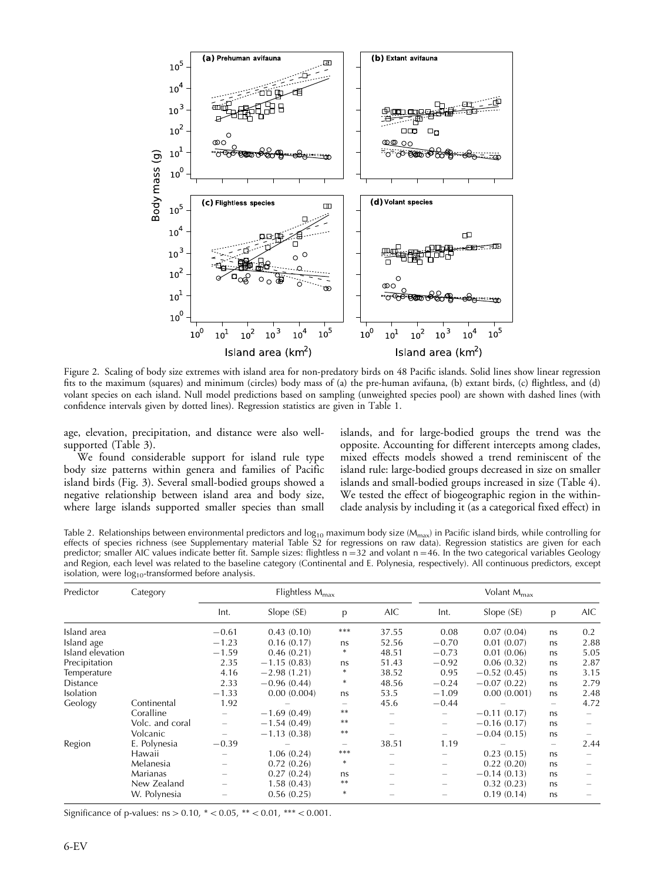

Figure 2. Scaling of body size extremes with island area for non-predatory birds on 48 Pacific islands. Solid lines show linear regression fits to the maximum (squares) and minimum (circles) body mass of (a) the pre-human avifauna, (b) extant birds, (c) flightless, and (d) volant species on each island. Null model predictions based on sampling (unweighted species pool) are shown with dashed lines (with confidence intervals given by dotted lines). Regression statistics are given in Table 1.

age, elevation, precipitation, and distance were also wellsupported (Table 3).

We found considerable support for island rule type body size patterns within genera and families of Pacific island birds (Fig. 3). Several small-bodied groups showed a negative relationship between island area and body size, where large islands supported smaller species than small islands, and for large-bodied groups the trend was the opposite. Accounting for different intercepts among clades, mixed effects models showed a trend reminiscent of the island rule: large-bodied groups decreased in size on smaller islands and small-bodied groups increased in size (Table 4). We tested the effect of biogeographic region in the withinclade analysis by including it (as a categorical fixed effect) in

Table 2. Relationships between environmental predictors and  $log_{10}$  maximum body size ( $M_{max}$ ) in Pacific island birds, while controlling for effects of species richness (see Supplementary material Table S2 for regressions on raw data). Regression statistics are given for each predictor; smaller AIC values indicate better fit. Sample sizes: flightless n =32 and volant n =46. In the two categorical variables Geology and Region, each level was related to the baseline category (Continental and E. Polynesia, respectively). All continuous predictors, except isolation, were  $log_{10}$ -transformed before analysis.

| Predictor        | Category        | Flightless $M_{\text{max}}$ |               |                   |            | Volant $M_{\text{max}}$  |               |     |      |
|------------------|-----------------|-----------------------------|---------------|-------------------|------------|--------------------------|---------------|-----|------|
|                  |                 | Int.                        | Slope (SE)    | p                 | <b>AIC</b> | Int.                     | Slope (SE)    | p   | AIC. |
| Island area      |                 | $-0.61$                     | 0.43(0.10)    | $***$             | 37.55      | 0.08                     | 0.07(0.04)    | ns  | 0.2  |
| Island age       |                 | $-1.23$                     | 0.16(0.17)    | ns                | 52.56      | $-0.70$                  | 0.01(0.07)    | ns  | 2.88 |
| Island elevation |                 | $-1.59$                     | 0.46(0.21)    | $\ast$            | 48.51      | $-0.73$                  | 0.01(0.06)    | ns  | 5.05 |
| Precipitation    |                 | 2.35                        | $-1.15(0.83)$ | ns                | 51.43      | $-0.92$                  | 0.06(0.32)    | ns  | 2.87 |
| Temperature      |                 | 4.16                        | $-2.98(1.21)$ | *                 | 38.52      | 0.95                     | $-0.52(0.45)$ | ns  | 3.15 |
| <b>Distance</b>  |                 | 2.33                        | $-0.96(0.44)$ | *                 | 48.56      | $-0.24$                  | $-0.07(0.22)$ | ns  | 2.79 |
| Isolation        |                 | $-1.33$                     | 0.00(0.004)   | ns                | 53.5       | $-1.09$                  | 0.00(0.001)   | ns  | 2.48 |
| Geology          | Continental     | 1.92                        |               |                   | 45.6       | $-0.44$                  |               | -   | 4.72 |
|                  | Coralline       | $\qquad \qquad -$           | $-1.69(0.49)$ | $***$             |            | $\overline{\phantom{0}}$ | $-0.11(0.17)$ | ns  |      |
|                  | Volc. and coral |                             | $-1.54(0.49)$ | $***$             |            | $\overline{\phantom{0}}$ | $-0.16(0.17)$ | ns. |      |
|                  | Volcanic        |                             | $-1.13(0.38)$ | $***$             |            | $\qquad \qquad -$        | $-0.04(0.15)$ | ns  |      |
| Region           | E. Polynesia    | $-0.39$                     |               | $\qquad \qquad -$ | 38.51      | 1.19                     |               | -   | 2.44 |
|                  | Hawaii          |                             | 1.06(0.24)    | $***$             |            |                          | 0.23(0.15)    | ns  |      |
|                  | Melanesia       | $\qquad \qquad -$           | 0.72(0.26)    | *                 |            | -                        | 0.22(0.20)    | ns. |      |
|                  | Marianas        |                             | 0.27(0.24)    | ns.               |            |                          | $-0.14(0.13)$ | ns  |      |
|                  | New Zealand     |                             | 1.58(0.43)    | $***$             |            |                          | 0.32(0.23)    | ns  |      |
|                  | W. Polynesia    |                             | 0.56(0.25)    | *                 |            |                          | 0.19(0.14)    | ns  |      |

Significance of p-values:  $ns > 0.10$ ,  $* < 0.05$ ,  $* < 0.01$ ,  $*** < 0.001$ .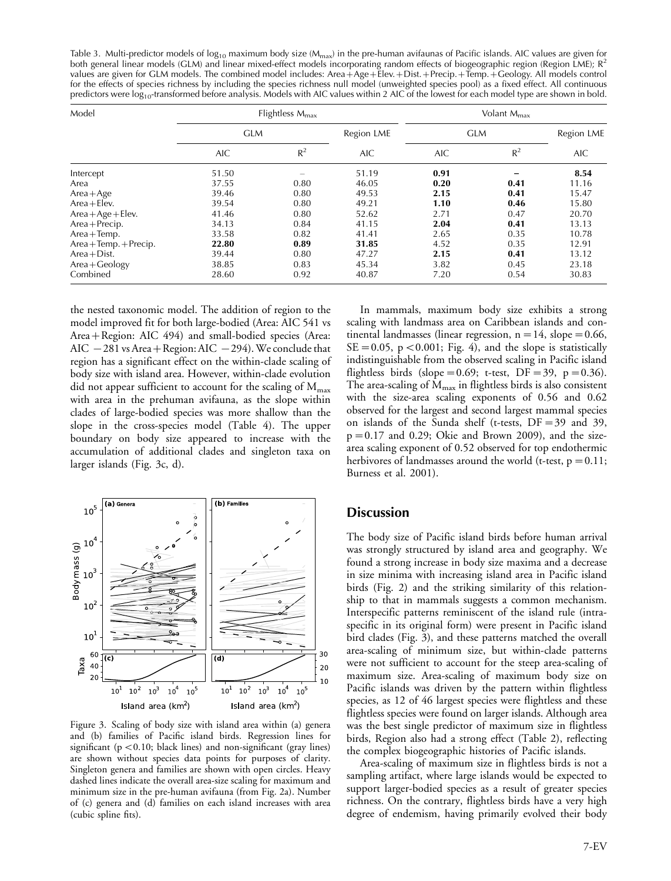Table 3. Multi-predictor models of  $log_{10}$  maximum body size (M<sub>max</sub>) in the pre-human avifaunas of Pacific islands. AIC values are given for both general linear models (GLM) and linear mixed-effect models incorporating random effects of biogeographic region (Region LME);  $R^2$ values are given for GLM models. The combined model includes: Area+Age+Elev.+Dist.+Precip.+Temp.+Geology. All models control for the effects of species richness by including the species richness null model (unweighted species pool) as a fixed effect. All continuous predictors were  $log_{10}$ -transformed before analysis. Models with AIC values within 2 AIC of the lowest for each model type are shown in bold.

| Model                    |            | Flightless M <sub>max</sub> |            | Volant $M_{\text{max}}$ |            |       |  |
|--------------------------|------------|-----------------------------|------------|-------------------------|------------|-------|--|
|                          | <b>GLM</b> |                             | Region LME | <b>GLM</b>              | Region LME |       |  |
|                          | <b>AIC</b> | $R^2$                       | <b>AIC</b> | <b>AIC</b>              | $R^2$      | AIC.  |  |
| Intercept                | 51.50      |                             | 51.19      | 0.91                    |            | 8.54  |  |
| Area                     | 37.55      | 0.80                        | 46.05      | 0.20                    | 0.41       | 11.16 |  |
| $Area + Age$             | 39.46      | 0.80                        | 49.53      | 2.15                    | 0.41       | 15.47 |  |
| $Area + Elev.$           | 39.54      | 0.80                        | 49.21      | 1.10                    | 0.46       | 15.80 |  |
| $Area + Age + Elev.$     | 41.46      | 0.80                        | 52.62      | 2.71                    | 0.47       | 20.70 |  |
| $Area + Precip.$         | 34.13      | 0.84                        | 41.15      | 2.04                    | 0.41       | 13.13 |  |
| $Area+Temp.$             | 33.58      | 0.82                        | 41.41      | 2.65                    | 0.35       | 10.78 |  |
| $Area + Temp. + Precip.$ | 22.80      | 0.89                        | 31.85      | 4.52                    | 0.35       | 12.91 |  |
| $Area + Dist.$           | 39.44      | 0.80                        | 47.27      | 2.15                    | 0.41       | 13.12 |  |
| $Area + Geology$         | 38.85      | 0.83                        | 45.34      | 3.82                    | 0.45       | 23.18 |  |
| Combined                 | 28.60      | 0.92                        | 40.87      | 7.20                    | 0.54       | 30.83 |  |

the nested taxonomic model. The addition of region to the model improved fit for both large-bodied (Area: AIC 541 vs Area+Region: AIC 494) and small-bodied species (Area: AIC  $-281$  vs Area + Region: AIC  $-294$ ). We conclude that region has a significant effect on the within-clade scaling of body size with island area. However, within-clade evolution did not appear sufficient to account for the scaling of  $M_{\text{max}}$ with area in the prehuman avifauna, as the slope within clades of large-bodied species was more shallow than the slope in the cross-species model (Table 4). The upper boundary on body size appeared to increase with the accumulation of additional clades and singleton taxa on larger islands (Fig. 3c, d).



Figure 3. Scaling of body size with island area within (a) genera and (b) families of Pacific island birds. Regression lines for significant ( $p < 0.10$ ; black lines) and non-significant (gray lines) are shown without species data points for purposes of clarity. Singleton genera and families are shown with open circles. Heavy dashed lines indicate the overall area-size scaling for maximum and minimum size in the pre-human avifauna (from Fig. 2a). Number of (c) genera and (d) families on each island increases with area (cubic spline fits).

In mammals, maximum body size exhibits a strong scaling with landmass area on Caribbean islands and continental landmasses (linear regression,  $n = 14$ , slope  $= 0.66$ ,  $SE = 0.05$ ,  $p < 0.001$ ; Fig. 4), and the slope is statistically indistinguishable from the observed scaling in Pacific island flightless birds (slope =  $0.69$ ; t-test, DF =  $39$ , p =  $0.36$ ). The area-scaling of  $M_{\text{max}}$  in flightless birds is also consistent with the size-area scaling exponents of 0.56 and 0.62 observed for the largest and second largest mammal species on islands of the Sunda shelf (t-tests,  $DF = 39$  and 39, p-0.17 and 0.29; Okie and Brown 2009), and the sizearea scaling exponent of 0.52 observed for top endothermic herbivores of landmasses around the world (t-test,  $p = 0.11$ ; Burness et al. 2001).

#### **Discussion**

The body size of Pacific island birds before human arrival was strongly structured by island area and geography. We found a strong increase in body size maxima and a decrease in size minima with increasing island area in Pacific island birds (Fig. 2) and the striking similarity of this relationship to that in mammals suggests a common mechanism. Interspecific patterns reminiscent of the island rule (intraspecific in its original form) were present in Pacific island bird clades (Fig. 3), and these patterns matched the overall area-scaling of minimum size, but within-clade patterns were not sufficient to account for the steep area-scaling of maximum size. Area-scaling of maximum body size on Pacific islands was driven by the pattern within flightless species, as 12 of 46 largest species were flightless and these flightless species were found on larger islands. Although area was the best single predictor of maximum size in flightless birds, Region also had a strong effect (Table 2), reflecting the complex biogeographic histories of Pacific islands.

Area-scaling of maximum size in flightless birds is not a sampling artifact, where large islands would be expected to support larger-bodied species as a result of greater species richness. On the contrary, flightless birds have a very high degree of endemism, having primarily evolved their body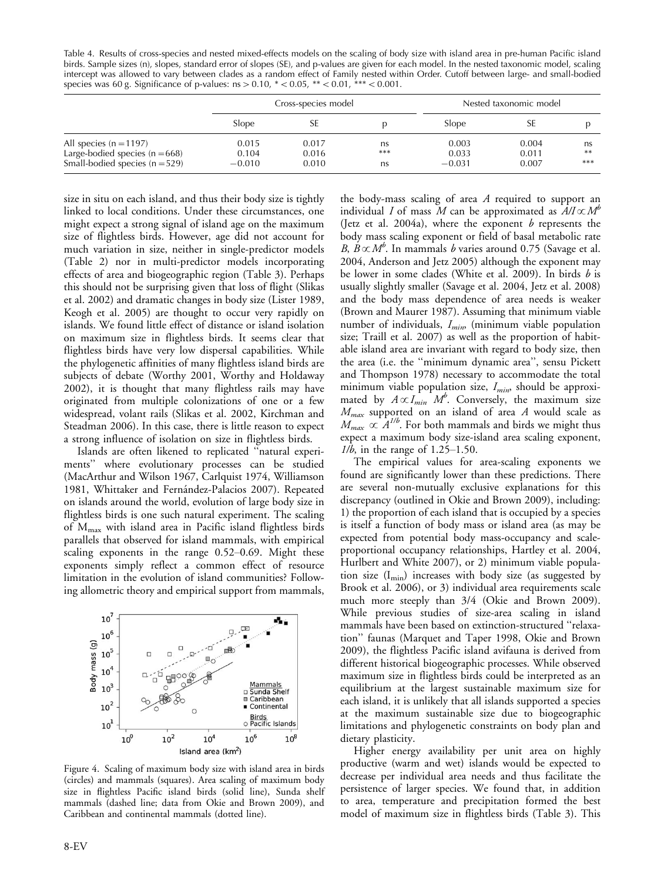Table 4. Results of cross-species and nested mixed-effects models on the scaling of body size with island area in pre-human Pacific island birds. Sample sizes (n), slopes, standard error of slopes (SE), and p-values are given for each model. In the nested taxonomic model, scaling intercept was allowed to vary between clades as a random effect of Family nested within Order. Cutoff between large- and small-bodied species was 60 g. Significance of p-values: ns  $>$  0.10, \*  $<$  0.05, \*\*  $<$  0.01, \*\*\*  $<$  0.001.

|                                                                                                  |                            | Cross-species model     |                   | Nested taxonomic model     |                         |                   |  |
|--------------------------------------------------------------------------------------------------|----------------------------|-------------------------|-------------------|----------------------------|-------------------------|-------------------|--|
|                                                                                                  | Slope                      |                         |                   | Slope                      |                         |                   |  |
| All species $(n = 1197)$<br>Large-bodied species $(n = 668)$<br>Small-bodied species $(n = 529)$ | 0.015<br>0.104<br>$-0.010$ | 0.017<br>0.016<br>0.010 | ns<br>$***$<br>ns | 0.003<br>0.033<br>$-0.031$ | 0.004<br>0.011<br>0.007 | ns<br>$**$<br>*** |  |

size in situ on each island, and thus their body size is tightly linked to local conditions. Under these circumstances, one might expect a strong signal of island age on the maximum size of flightless birds. However, age did not account for much variation in size, neither in single-predictor models (Table 2) nor in multi-predictor models incorporating effects of area and biogeographic region (Table 3). Perhaps this should not be surprising given that loss of flight (Slikas et al. 2002) and dramatic changes in body size (Lister 1989, Keogh et al. 2005) are thought to occur very rapidly on islands. We found little effect of distance or island isolation on maximum size in flightless birds. It seems clear that flightless birds have very low dispersal capabilities. While the phylogenetic affinities of many flightless island birds are subjects of debate (Worthy 2001, Worthy and Holdaway 2002), it is thought that many flightless rails may have originated from multiple colonizations of one or a few widespread, volant rails (Slikas et al. 2002, Kirchman and Steadman 2006). In this case, there is little reason to expect a strong influence of isolation on size in flightless birds.

Islands are often likened to replicated ''natural experiments'' where evolutionary processes can be studied (MacArthur and Wilson 1967, Carlquist 1974, Williamson 1981, Whittaker and Fernández-Palacios 2007). Repeated on islands around the world, evolution of large body size in flightless birds is one such natural experiment. The scaling of Mmax with island area in Pacific island flightless birds parallels that observed for island mammals, with empirical scaling exponents in the range  $0.52-0.69$ . Might these exponents simply reflect a common effect of resource limitation in the evolution of island communities? Following allometric theory and empirical support from mammals,



Figure 4. Scaling of maximum body size with island area in birds (circles) and mammals (squares). Area scaling of maximum body size in flightless Pacific island birds (solid line), Sunda shelf mammals (dashed line; data from Okie and Brown 2009), and Caribbean and continental mammals (dotted line).

the body-mass scaling of area  $A$  required to support an individual I of mass M can be approximated as  $A/I \propto M^b$ (Jetz et al. 2004a), where the exponent  $b$  represents the body mass scaling exponent or field of basal metabolic rate B,  $B \propto M^b$ . In mammals b varies around 0.75 (Savage et al. 2004, Anderson and Jetz 2005) although the exponent may be lower in some clades (White et al. 2009). In birds  $b$  is usually slightly smaller (Savage et al. 2004, Jetz et al. 2008) and the body mass dependence of area needs is weaker (Brown and Maurer 1987). Assuming that minimum viable number of individuals,  $I_{min}$  (minimum viable population size; Traill et al. 2007) as well as the proportion of habitable island area are invariant with regard to body size, then the area (i.e. the ''minimum dynamic area'', sensu Pickett and Thompson 1978) necessary to accommodate the total minimum viable population size,  $I_{min}$  should be approximated by  $A \propto I_{min}^{f} M^b$ . Conversely, the maximum size  $M_{max}$  supported on an island of area A would scale as  $M_{max} \propto A^{1/b}$ . For both mammals and birds we might thus expect a maximum body size-island area scaling exponent,  $1/b$ , in the range of 1.25–1.50.

The empirical values for area-scaling exponents we found are significantly lower than these predictions. There are several non-mutually exclusive explanations for this discrepancy (outlined in Okie and Brown 2009), including: 1) the proportion of each island that is occupied by a species is itself a function of body mass or island area (as may be expected from potential body mass-occupancy and scaleproportional occupancy relationships, Hartley et al. 2004, Hurlbert and White 2007), or 2) minimum viable population size  $(I_{min})$  increases with body size (as suggested by Brook et al. 2006), or 3) individual area requirements scale much more steeply than 3/4 (Okie and Brown 2009). While previous studies of size-area scaling in island mammals have been based on extinction-structured ''relaxation'' faunas (Marquet and Taper 1998, Okie and Brown 2009), the flightless Pacific island avifauna is derived from different historical biogeographic processes. While observed maximum size in flightless birds could be interpreted as an equilibrium at the largest sustainable maximum size for each island, it is unlikely that all islands supported a species at the maximum sustainable size due to biogeographic limitations and phylogenetic constraints on body plan and dietary plasticity.

Higher energy availability per unit area on highly productive (warm and wet) islands would be expected to decrease per individual area needs and thus facilitate the persistence of larger species. We found that, in addition to area, temperature and precipitation formed the best model of maximum size in flightless birds (Table 3). This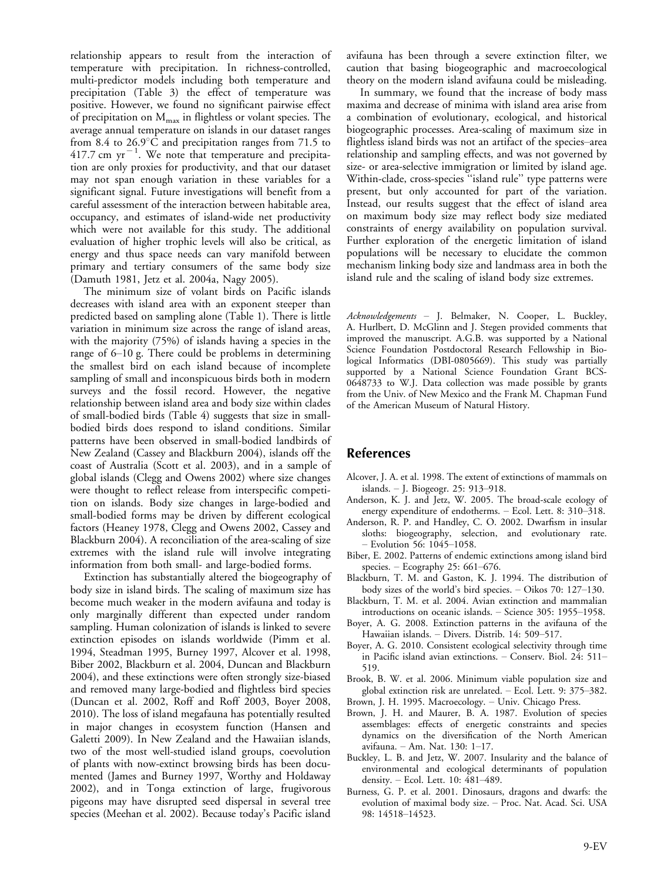relationship appears to result from the interaction of temperature with precipitation. In richness-controlled, multi-predictor models including both temperature and precipitation (Table 3) the effect of temperature was positive. However, we found no significant pairwise effect of precipitation on  $M_{\text{max}}$  in flightless or volant species. The average annual temperature on islands in our dataset ranges from 8.4 to  $26.9^{\circ}$ C and precipitation ranges from 71.5 to  $417.7$  cm  $yr^{-1}$ . We note that temperature and precipitation are only proxies for productivity, and that our dataset may not span enough variation in these variables for a significant signal. Future investigations will benefit from a careful assessment of the interaction between habitable area, occupancy, and estimates of island-wide net productivity which were not available for this study. The additional evaluation of higher trophic levels will also be critical, as energy and thus space needs can vary manifold between primary and tertiary consumers of the same body size (Damuth 1981, Jetz et al. 2004a, Nagy 2005).

The minimum size of volant birds on Pacific islands decreases with island area with an exponent steeper than predicted based on sampling alone (Table 1). There is little variation in minimum size across the range of island areas, with the majority (75%) of islands having a species in the range of  $6-10$  g. There could be problems in determining the smallest bird on each island because of incomplete sampling of small and inconspicuous birds both in modern surveys and the fossil record. However, the negative relationship between island area and body size within clades of small-bodied birds (Table 4) suggests that size in smallbodied birds does respond to island conditions. Similar patterns have been observed in small-bodied landbirds of New Zealand (Cassey and Blackburn 2004), islands off the coast of Australia (Scott et al. 2003), and in a sample of global islands (Clegg and Owens 2002) where size changes were thought to reflect release from interspecific competition on islands. Body size changes in large-bodied and small-bodied forms may be driven by different ecological factors (Heaney 1978, Clegg and Owens 2002, Cassey and Blackburn 2004). A reconciliation of the area-scaling of size extremes with the island rule will involve integrating information from both small- and large-bodied forms.

Extinction has substantially altered the biogeography of body size in island birds. The scaling of maximum size has become much weaker in the modern avifauna and today is only marginally different than expected under random sampling. Human colonization of islands is linked to severe extinction episodes on islands worldwide (Pimm et al. 1994, Steadman 1995, Burney 1997, Alcover et al. 1998, Biber 2002, Blackburn et al. 2004, Duncan and Blackburn 2004), and these extinctions were often strongly size-biased and removed many large-bodied and flightless bird species (Duncan et al. 2002, Roff and Roff 2003, Boyer 2008, 2010). The loss of island megafauna has potentially resulted in major changes in ecosystem function (Hansen and Galetti 2009). In New Zealand and the Hawaiian islands, two of the most well-studied island groups, coevolution of plants with now-extinct browsing birds has been documented (James and Burney 1997, Worthy and Holdaway 2002), and in Tonga extinction of large, frugivorous pigeons may have disrupted seed dispersal in several tree species (Meehan et al. 2002). Because today's Pacific island

avifauna has been through a severe extinction filter, we caution that basing biogeographic and macroecological theory on the modern island avifauna could be misleading.

In summary, we found that the increase of body mass maxima and decrease of minima with island area arise from a combination of evolutionary, ecological, and historical biogeographic processes. Area-scaling of maximum size in flightless island birds was not an artifact of the species-area relationship and sampling effects, and was not governed by size- or area-selective immigration or limited by island age. Within-clade, cross-species ''island rule'' type patterns were present, but only accounted for part of the variation. Instead, our results suggest that the effect of island area on maximum body size may reflect body size mediated constraints of energy availability on population survival. Further exploration of the energetic limitation of island populations will be necessary to elucidate the common mechanism linking body size and landmass area in both the island rule and the scaling of island body size extremes.

Acknowledgements - J. Belmaker, N. Cooper, L. Buckley, A. Hurlbert, D. McGlinn and J. Stegen provided comments that improved the manuscript. A.G.B. was supported by a National Science Foundation Postdoctoral Research Fellowship in Biological Informatics (DBI-0805669). This study was partially supported by a National Science Foundation Grant BCS-0648733 to W.J. Data collection was made possible by grants from the Univ. of New Mexico and the Frank M. Chapman Fund of the American Museum of Natural History.

#### References

- Alcover, J. A. et al. 1998. The extent of extinctions of mammals on islands. - J. Biogeogr. 25: 913-918.
- Anderson, K. J. and Jetz, W. 2005. The broad-scale ecology of energy expenditure of endotherms.  $-$  Ecol. Lett. 8: 310 $-$ 318.
- Anderson, R. P. and Handley, C. O. 2002. Dwarfism in insular sloths: biogeography, selection, and evolutionary rate.  $-$  Evolution 56: 1045-1058.
- Biber, E. 2002. Patterns of endemic extinctions among island bird species. – Ecography 25:  $661-676$ .
- Blackburn, T. M. and Gaston, K. J. 1994. The distribution of body sizes of the world's bird species.  $-$  Oikos 70: 127–130.
- Blackburn, T. M. et al. 2004. Avian extinction and mammalian introductions on oceanic islands. - Science 305: 1955-1958.
- Boyer, A. G. 2008. Extinction patterns in the avifauna of the Hawaiian islands. - Divers. Distrib. 14: 509-517.
- Boyer, A. G. 2010. Consistent ecological selectivity through time in Pacific island avian extinctions. - Conserv. Biol. 24: 511-519.
- Brook, B. W. et al. 2006. Minimum viable population size and global extinction risk are unrelated.  $-$  Ecol. Lett. 9: 375-382.
- Brown, J. H. 1995. Macroecology. Univ. Chicago Press.
- Brown, J. H. and Maurer, B. A. 1987. Evolution of species assemblages: effects of energetic constraints and species dynamics on the diversification of the North American avifauna. - Am. Nat. 130: 1-17.
- Buckley, L. B. and Jetz, W. 2007. Insularity and the balance of environmental and ecological determinants of population density. - Ecol. Lett. 10: 481-489.
- Burness, G. P. et al. 2001. Dinosaurs, dragons and dwarfs: the evolution of maximal body size. - Proc. Nat. Acad. Sci. USA 98: 14518-14523.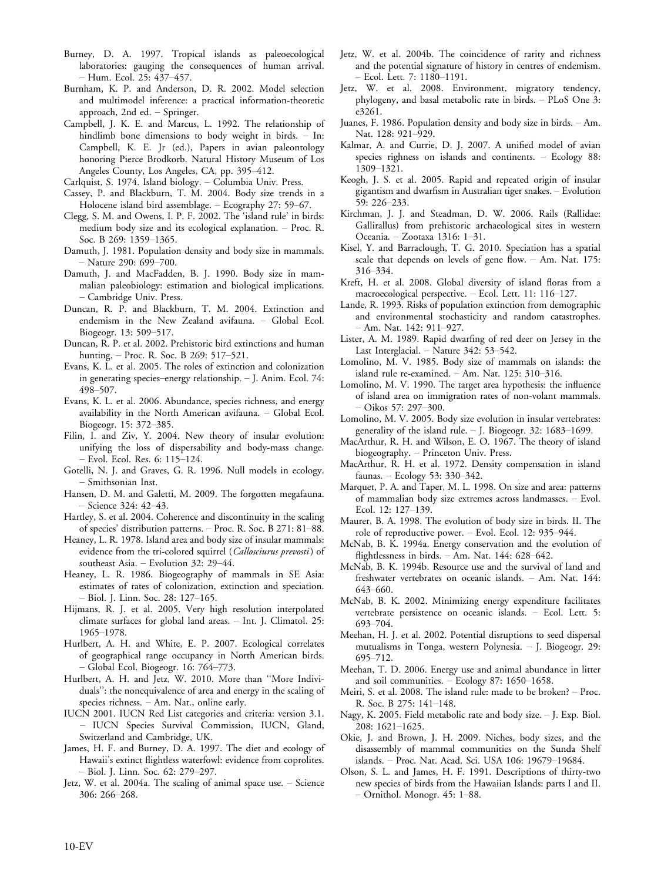- Burney, D. A. 1997. Tropical islands as paleoecological laboratories: gauging the consequences of human arrival. - Hum. Ecol. 25: 437-457.
- Burnham, K. P. and Anderson, D. R. 2002. Model selection and multimodel inference: a practical information-theoretic approach, 2nd ed. - Springer.
- Campbell, J. K. E. and Marcus, L. 1992. The relationship of hindlimb bone dimensions to body weight in birds. - In: Campbell, K. E. Jr (ed.), Papers in avian paleontology honoring Pierce Brodkorb. Natural History Museum of Los Angeles County, Los Angeles, CA, pp. 395-412.
- Carlquist, S. 1974. Island biology. Columbia Univ. Press.
- Cassey, P. and Blackburn, T. M. 2004. Body size trends in a Holocene island bird assemblage.  $-$  Ecography 27: 59–67.
- Clegg, S. M. and Owens, I. P. F. 2002. The 'island rule' in birds: medium body size and its ecological explanation. - Proc. R. Soc. B 269: 1359-1365.
- Damuth, J. 1981. Population density and body size in mammals. - Nature 290: 699-700.
- Damuth, J. and MacFadden, B. J. 1990. Body size in mammalian paleobiology: estimation and biological implications. - Cambridge Univ. Press.
- Duncan, R. P. and Blackburn, T. M. 2004. Extinction and endemism in the New Zealand avifauna. Global Ecol. Biogeogr. 13: 509-517.
- Duncan, R. P. et al. 2002. Prehistoric bird extinctions and human hunting. – Proc. R. Soc. B 269: 517–521.
- Evans, K. L. et al. 2005. The roles of extinction and colonization in generating species-energy relationship.  $-$  J. Anim. Ecol. 74: 498-507.
- Evans, K. L. et al. 2006. Abundance, species richness, and energy availability in the North American avifauna. Global Ecol. Biogeogr. 15: 372-385.
- Filin, I. and Ziv, Y. 2004. New theory of insular evolution: unifying the loss of dispersability and body-mass change. – Evol. Ecol. Res. 6: 115–124.
- Gotelli, N. J. and Graves, G. R. 1996. Null models in ecology. - Smithsonian Inst.
- Hansen, D. M. and Galetti, M. 2009. The forgotten megafauna.  $-$  Science 324: 42-43.
- Hartley, S. et al. 2004. Coherence and discontinuity in the scaling of species' distribution patterns. - Proc. R. Soc. B 271: 81-88.
- Heaney, L. R. 1978. Island area and body size of insular mammals: evidence from the tri-colored squirrel (Callosciurus prevosti) of southeast Asia. - Evolution 32: 29-44.
- Heaney, L. R. 1986. Biogeography of mammals in SE Asia: estimates of rates of colonization, extinction and speciation. – Biol. J. Linn. Soc. 28: 127–165.
- Hijmans, R. J. et al. 2005. Very high resolution interpolated climate surfaces for global land areas. - Int. J. Climatol. 25: 1965-1978.
- Hurlbert, A. H. and White, E. P. 2007. Ecological correlates of geographical range occupancy in North American birds. - Global Ecol. Biogeogr. 16: 764-773.
- Hurlbert, A. H. and Jetz, W. 2010. More than ''More Individuals'': the nonequivalence of area and energy in the scaling of species richness. - Am. Nat., online early.
- IUCN 2001. IUCN Red List categories and criteria: version 3.1. - IUCN Species Survival Commission, IUCN, Gland, Switzerland and Cambridge, UK.
- James, H. F. and Burney, D. A. 1997. The diet and ecology of Hawaii's extinct flightless waterfowl: evidence from coprolites. - Biol. J. Linn. Soc. 62: 279-297.
- Jetz, W. et al. 2004a. The scaling of animal space use.  $-$  Science 306: 266-268.
- Jetz, W. et al. 2004b. The coincidence of rarity and richness and the potential signature of history in centres of endemism. - Ecol. Lett. 7: 1180-1191.
- Jetz, W. et al. 2008. Environment, migratory tendency, phylogeny, and basal metabolic rate in birds. PLoS One 3: e3261.
- Juanes, F. 1986. Population density and body size in birds. Am. Nat. 128: 921-929.
- Kalmar, A. and Currie, D. J. 2007. A unified model of avian species righness on islands and continents. - Ecology 88: 1309-1321.
- Keogh, J. S. et al. 2005. Rapid and repeated origin of insular gigantism and dwarfism in Australian tiger snakes. Evolution 59: 226-233.
- Kirchman, J. J. and Steadman, D. W. 2006. Rails (Rallidae: Gallirallus) from prehistoric archaeological sites in western Oceania. - Zootaxa 1316: 1-31.
- Kisel, Y. and Barraclough, T. G. 2010. Speciation has a spatial scale that depends on levels of gene flow.  $-$  Am. Nat. 175: 316334.
- Kreft, H. et al. 2008. Global diversity of island floras from a macroecological perspective. - Ecol. Lett. 11: 116-127.
- Lande, R. 1993. Risks of population extinction from demographic and environmental stochasticity and random catastrophes. - Am. Nat. 142: 911-927.
- Lister, A. M. 1989. Rapid dwarfing of red deer on Jersey in the Last Interglacial.  $-$  Nature 342: 53-542.
- Lomolino, M. V. 1985. Body size of mammals on islands: the island rule re-examined.  $-$  Am. Nat. 125: 310-316.
- Lomolino, M. V. 1990. The target area hypothesis: the influence of island area on immigration rates of non-volant mammals. - Oikos 57: 297-300.
- Lomolino, M. V. 2005. Body size evolution in insular vertebrates: generality of the island rule.  $-$  J. Biogeogr. 32: 1683–1699.
- MacArthur, R. H. and Wilson, E. O. 1967. The theory of island biogeography. - Princeton Univ. Press.
- MacArthur, R. H. et al. 1972. Density compensation in island faunas. - Ecology 53: 330-342.
- Marquet, P. A. and Taper, M. L. 1998. On size and area: patterns of mammalian body size extremes across landmasses. Evol. Ecol. 12: 127-139.
- Maurer, B. A. 1998. The evolution of body size in birds. II. The role of reproductive power. - Evol. Ecol. 12: 935-944.
- McNab, B. K. 1994a. Energy conservation and the evolution of flightlessness in birds.  $-$  Am. Nat. 144: 628-642.
- McNab, B. K. 1994b. Resource use and the survival of land and freshwater vertebrates on oceanic islands. - Am. Nat. 144: 643-660.
- McNab, B. K. 2002. Minimizing energy expenditure facilitates vertebrate persistence on oceanic islands. - Ecol. Lett. 5: 693–704.
- Meehan, H. J. et al. 2002. Potential disruptions to seed dispersal mutualisms in Tonga, western Polynesia. - J. Biogeogr. 29: 695-712.
- Meehan, T. D. 2006. Energy use and animal abundance in litter and soil communities.  $-$  Ecology 87: 1650-1658.
- Meiri, S. et al. 2008. The island rule: made to be broken? Proc. R. Soc. B 275: 141-148.
- Nagy, K. 2005. Field metabolic rate and body size. J. Exp. Biol. 208: 1621-1625.
- Okie, J. and Brown, J. H. 2009. Niches, body sizes, and the disassembly of mammal communities on the Sunda Shelf islands. – Proc. Nat. Acad. Sci. USA 106: 19679–19684.
- Olson, S. L. and James, H. F. 1991. Descriptions of thirty-two new species of birds from the Hawaiian Islands: parts I and II. - Ornithol. Monogr. 45: 1-88.